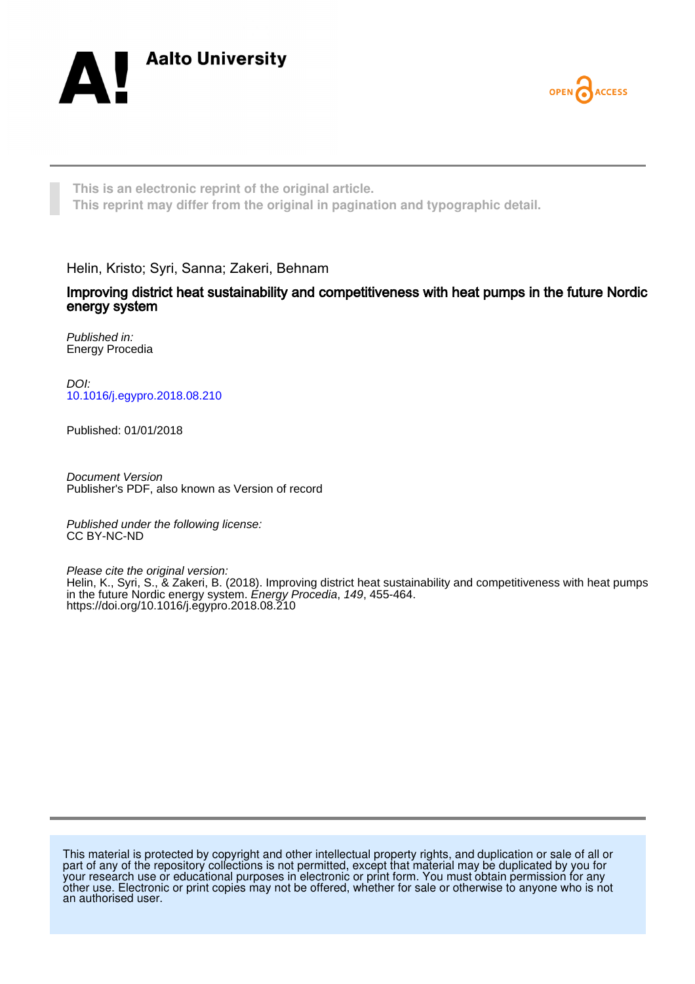



**This is an electronic reprint of the original article. This reprint may differ from the original in pagination and typographic detail.**

Helin, Kristo; Syri, Sanna; Zakeri, Behnam

Improving district heat sustainability and competitiveness with heat pumps in the future Nordic energy system

Published in: Energy Procedia

DOI: [10.1016/j.egypro.2018.08.210](https://doi.org/10.1016/j.egypro.2018.08.210)

Published: 01/01/2018

Document Version Publisher's PDF, also known as Version of record

Published under the following license: CC BY-NC-ND

Please cite the original version:

Helin, K., Syri, S., & Zakeri, B. (2018). Improving district heat sustainability and competitiveness with heat pumps in the future Nordic energy system. Energy Procedia, 149, 455-464. <https://doi.org/10.1016/j.egypro.2018.08.210>

This material is protected by copyright and other intellectual property rights, and duplication or sale of all or part of any of the repository collections is not permitted, except that material may be duplicated by you for your research use or educational purposes in electronic or print form. You must obtain permission for any other use. Electronic or print copies may not be offered, whether for sale or otherwise to anyone who is not an authorised user.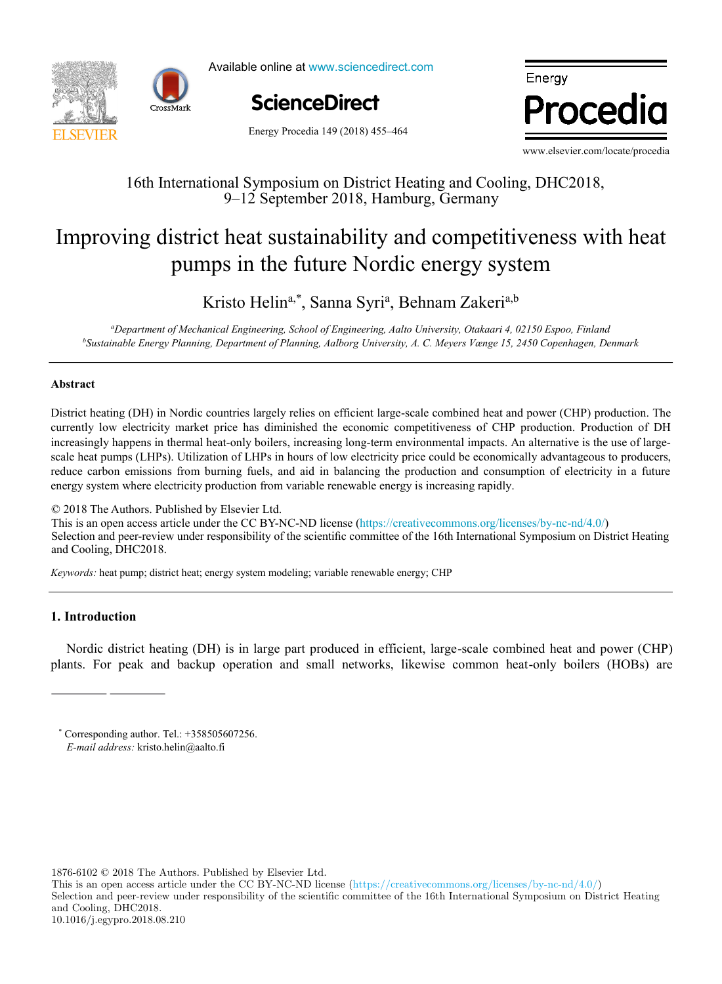



Available online at www.sciencedirect.com



Energy Procedia

Energy Procedia 149 (2018) 455–464

www.elsevier.com/locate/procedia

# 16th International Symposium on District Heating and Cooling, DHC2018, 9–12 September 2018, Hamburg, Germany

#### district heat sustainability and competitiveness v pumps in the future twitter energy system Improving district heat sustainability and competitiveness with heat pumps in the future Nordic energy system Improving district heat sustainability and competitiveness with heat pumps in the future Nordic energy system

#### Kristo Helin<sup>a,\*</sup>, Sanna Syri<sup>a</sup>, Behnam Zakeri<sup>a,b</sup>  $\mathbb{R}$  , Sanna Syria Syria Syria Syria Syria Syria Syria Syria Syria Syria Syria Syria Syria Syria Syria Syria Syria Syria Syria Syria Syria Syria Syria Syria Syria Syria Syria Syria Syria Syria Syria Syria Syria Syria *Department of Mechanical Engineering, School of Engineering, Aalto University, Otakaari 4, 02150 Espoo, Finland* Kristo Helin<sup>a,\*</sup>, Sanna Syri<sup>a</sup>, Behnam Zakeri<sup>a,b</sup>

Department of intentional Engineering, sensor of Engineering, Adib Onversity, Octoman 4, 02150 Espoo, Pinana<br>Sustainable Energy Planning, Department of Planning, Aalborg University, A. C. Meyers Vænge 15, 2450 Copenhagen, <sup>a</sup>Department of Mechanical Engineering, School of Engineering, Aalto University, Otakaari 4, 02150 Espoo, Finland

# **Abstract**

Abstracting of the producers, and and aid in burning fuels and consumed the production and anti-time and and aid in the production scale heat pumps (LHPs). Utilization of LHPs in hours of low electricity price could be eco because sensor sinusticity from seming rasts, and the modulities of production and sometime of secondary in a radiative energy system where electricity production from variable renewable energy is increasing rapidly. green house gas emissions from the building sector. These sectors require the heat of the heat of the heat of the heat of the heat of the heat of the heat of the heat of the heat of the heat of the heat of the heat of the District heating (DH) in Nordic countries largely relies on efficient large-scale combined heat and power (CHP) production. The currently low electricity market price has diminished the economic competitiveness of CHP production. Production of DH increasingly happens in thermal heat-only boilers, increasing long-term environmental impacts. An alternative is the use of largescale heat pumps (LHPs). Utilization of LHPs in hours of low electricity price could be economically advantageous to producers,<br>reduce carbon emissions from burning fuels, and aid in balancing the production and consumptio

© 2018 The Authors. Published by Elsevier Ltd. Show the Additions. Fubrished by Eisevier Etd.<br>This is an open access article under the CC BY-NC-ND license (https://creativecommons.org/licenses/by-nc-nd/4.0/) Selection and peer-review under responsibility of the scientific committee of the 16th International Symposium on District Heating forecasts and Cooling, DHC2018.  $\text{S}$  and Cooling DHC2018 Heating and Cooling, DHC2018.

compared with results from a dynamic heat demand model, previously developed and validated by the authors.

Keywords: heat pump; district heat; energy system modeling; variable renewable energy; CHP renovation scenarios were developed (shallow, intermediate, deep). To estimate the error, obtained heat demand values were *Keywords:* heat pump; district heat; energy system modeling; variable renewable energy; CHP

#### $\Gamma$ (the error in annual demand was lower than 20% for all weather scenarios considered). However, after introducing renovation **1. Introduction**

scenarios, the error value increased up to 59.5% (depending on the weather and renovation scenarios combination considered). Nordic district heating (DH) is in large part produced in efficient, large-scale combined heat and power (CHP) plants. For peak and backup operation and small networks, likewise common heat-only boilers (HOBs) are

coupled scenarios). The values suggested could be used to modify the function parameters for the scenarios considered, and the scenarios considered, and the scenarios considered, and the scenarios considered, and the scena

E-mail address: kristo.helin@aalto.fi Peer-review under responsibility of the Scientific Committee of The 15th International Symposium on District Heating and  $*$  Corresponding author. Tel.:  $+358505607256$ .

1876-6102 © 2017 The Authors. Published by Elsevier Ltd. 1876-6102 © 2018 The Authors. Published by Elsevier Ltd.

This is an open access article under the CC BY-NC-ND license (https://creativecommons.org/licenses/by-nc-nd/4.0/) Selection and peer-review under responsibility of the scientific committee of the 16th International Symposium on District Heating and Cooling, DHC2018. 10.1016/j.egypro.2018.08.210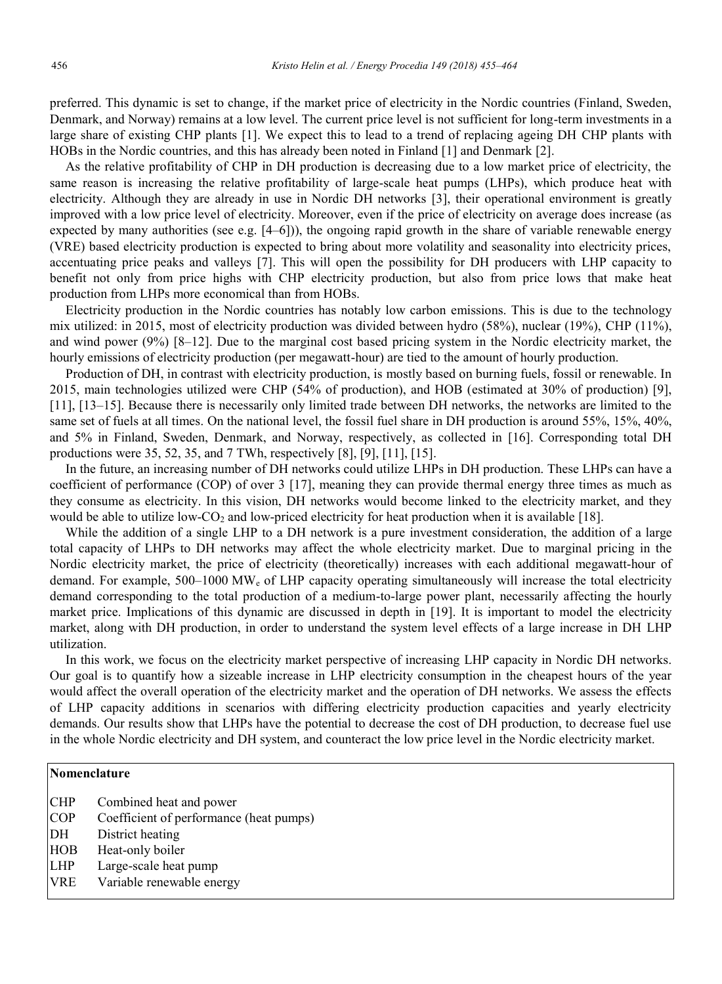preferred. This dynamic is set to change, if the market price of electricity in the Nordic countries (Finland, Sweden, Denmark, and Norway) remains at a low level. The current price level is not sufficient for long-term investments in a large share of existing CHP plants [1]. We expect this to lead to a trend of replacing ageing DH CHP plants with HOBs in the Nordic countries, and this has already been noted in Finland [1] and Denmark [2].

As the relative profitability of CHP in DH production is decreasing due to a low market price of electricity, the same reason is increasing the relative profitability of large-scale heat pumps (LHPs), which produce heat with electricity. Although they are already in use in Nordic DH networks [3], their operational environment is greatly improved with a low price level of electricity. Moreover, even if the price of electricity on average does increase (as expected by many authorities (see e.g.  $[4-6]$ )), the ongoing rapid growth in the share of variable renewable energy (VRE) based electricity production is expected to bring about more volatility and seasonality into electricity prices, accentuating price peaks and valleys [7]. This will open the possibility for DH producers with LHP capacity to benefit not only from price highs with CHP electricity production, but also from price lows that make heat production from LHPs more economical than from HOBs.

Electricity production in the Nordic countries has notably low carbon emissions. This is due to the technology mix utilized: in 2015, most of electricity production was divided between hydro (58%), nuclear (19%), CHP (11%), and wind power (9%) [8–12]. Due to the marginal cost based pricing system in the Nordic electricity market, the hourly emissions of electricity production (per megawatt-hour) are tied to the amount of hourly production.

Production of DH, in contrast with electricity production, is mostly based on burning fuels, fossil or renewable. In 2015, main technologies utilized were CHP (54% of production), and HOB (estimated at 30% of production) [9], [11], [13–15]. Because there is necessarily only limited trade between DH networks, the networks are limited to the same set of fuels at all times. On the national level, the fossil fuel share in DH production is around 55%, 15%, 40%, and 5% in Finland, Sweden, Denmark, and Norway, respectively, as collected in [16]. Corresponding total DH productions were 35, 52, 35, and 7 TWh, respectively [8], [9], [11], [15].

In the future, an increasing number of DH networks could utilize LHPs in DH production. These LHPs can have a coefficient of performance (COP) of over 3 [17], meaning they can provide thermal energy three times as much as they consume as electricity. In this vision, DH networks would become linked to the electricity market, and they would be able to utilize low-CO<sub>2</sub> and low-priced electricity for heat production when it is available [18].

While the addition of a single LHP to a DH network is a pure investment consideration, the addition of a large total capacity of LHPs to DH networks may affect the whole electricity market. Due to marginal pricing in the Nordic electricity market, the price of electricity (theoretically) increases with each additional megawatt-hour of demand. For example, 500–1000 MW<sub>e</sub> of LHP capacity operating simultaneously will increase the total electricity demand corresponding to the total production of a medium-to-large power plant, necessarily affecting the hourly market price. Implications of this dynamic are discussed in depth in [19]. It is important to model the electricity market, along with DH production, in order to understand the system level effects of a large increase in DH LHP utilization.

In this work, we focus on the electricity market perspective of increasing LHP capacity in Nordic DH networks. Our goal is to quantify how a sizeable increase in LHP electricity consumption in the cheapest hours of the year would affect the overall operation of the electricity market and the operation of DH networks. We assess the effects of LHP capacity additions in scenarios with differing electricity production capacities and yearly electricity demands. Our results show that LHPs have the potential to decrease the cost of DH production, to decrease fuel use in the whole Nordic electricity and DH system, and counteract the low price level in the Nordic electricity market.

# **Nomenclature**

- CHP Combined heat and power COP Coefficient of performance (heat pumps)
- 
- DH District heating
- HOB Heat-only boiler
- LHP Large-scale heat pump
- VRE Variable renewable energy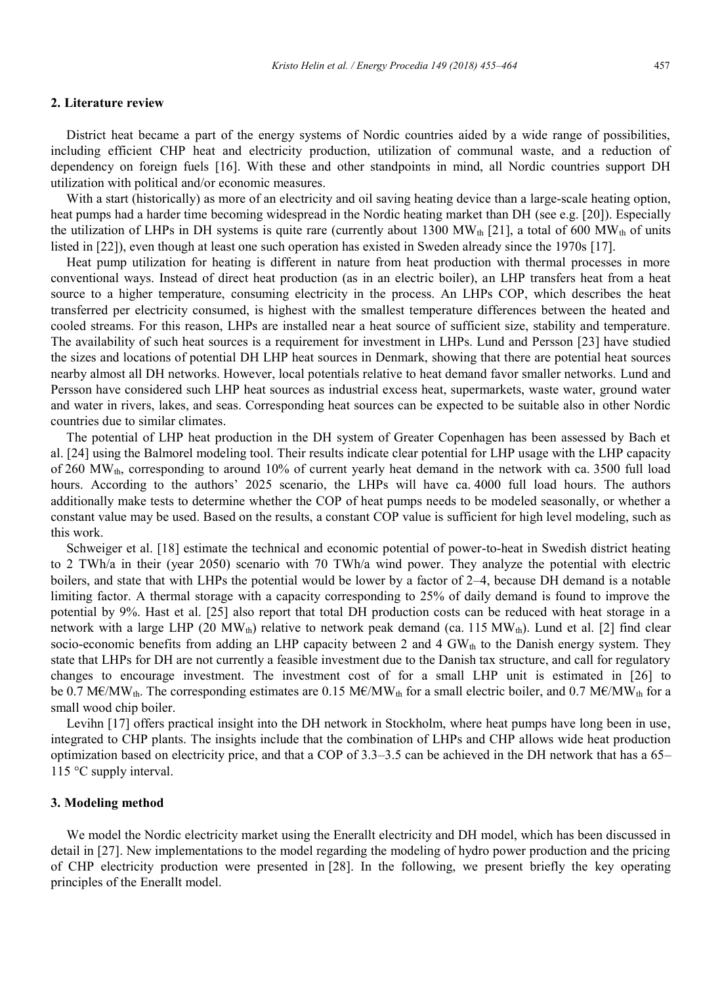#### **2. Literature review**

District heat became a part of the energy systems of Nordic countries aided by a wide range of possibilities, including efficient CHP heat and electricity production, utilization of communal waste, and a reduction of dependency on foreign fuels [16]. With these and other standpoints in mind, all Nordic countries support DH utilization with political and/or economic measures.

With a start (historically) as more of an electricity and oil saving heating device than a large-scale heating option, heat pumps had a harder time becoming widespread in the Nordic heating market than DH (see e.g. [20]). Especially the utilization of LHPs in DH systems is quite rare (currently about 1300 MW<sub>th</sub> [21], a total of 600 MW<sub>th</sub> of units listed in [22]), even though at least one such operation has existed in Sweden already since the 1970s [17].

Heat pump utilization for heating is different in nature from heat production with thermal processes in more conventional ways. Instead of direct heat production (as in an electric boiler), an LHP transfers heat from a heat source to a higher temperature, consuming electricity in the process. An LHPs COP, which describes the heat transferred per electricity consumed, is highest with the smallest temperature differences between the heated and cooled streams. For this reason, LHPs are installed near a heat source of sufficient size, stability and temperature. The availability of such heat sources is a requirement for investment in LHPs. Lund and Persson [23] have studied the sizes and locations of potential DH LHP heat sources in Denmark, showing that there are potential heat sources nearby almost all DH networks. However, local potentials relative to heat demand favor smaller networks. Lund and Persson have considered such LHP heat sources as industrial excess heat, supermarkets, waste water, ground water and water in rivers, lakes, and seas. Corresponding heat sources can be expected to be suitable also in other Nordic countries due to similar climates.

The potential of LHP heat production in the DH system of Greater Copenhagen has been assessed by Bach et al. [24] using the Balmorel modeling tool. Their results indicate clear potential for LHP usage with the LHP capacity of 260 MW $_{th}$ , corresponding to around 10% of current yearly heat demand in the network with ca. 3500 full load hours. According to the authors' 2025 scenario, the LHPs will have ca. 4000 full load hours. The authors additionally make tests to determine whether the COP of heat pumps needs to be modeled seasonally, or whether a constant value may be used. Based on the results, a constant COP value is sufficient for high level modeling, such as this work.

Schweiger et al. [18] estimate the technical and economic potential of power-to-heat in Swedish district heating to 2 TWh/a in their (year 2050) scenario with 70 TWh/a wind power. They analyze the potential with electric boilers, and state that with LHPs the potential would be lower by a factor of 2–4, because DH demand is a notable limiting factor. A thermal storage with a capacity corresponding to 25% of daily demand is found to improve the potential by 9%. Hast et al. [25] also report that total DH production costs can be reduced with heat storage in a network with a large LHP (20 MW<sub>th</sub>) relative to network peak demand (ca. 115 MW<sub>th</sub>). Lund et al. [2] find clear socio-economic benefits from adding an LHP capacity between 2 and 4  $GW<sub>th</sub>$  to the Danish energy system. They state that LHPs for DH are not currently a feasible investment due to the Danish tax structure, and call for regulatory changes to encourage investment. The investment cost of for a small LHP unit is estimated in [26] to be 0.7 M€/MW<sub>th</sub>. The corresponding estimates are 0.15 M€/MW<sub>th</sub> for a small electric boiler, and 0.7 M€/MW<sub>th</sub> for a small wood chip boiler.

Levihn [17] offers practical insight into the DH network in Stockholm, where heat pumps have long been in use, integrated to CHP plants. The insights include that the combination of LHPs and CHP allows wide heat production optimization based on electricity price, and that a COP of 3.3–3.5 can be achieved in the DH network that has a 65– 115 °C supply interval.

#### **3. Modeling method**

We model the Nordic electricity market using the Enerallt electricity and DH model, which has been discussed in detail in [27]. New implementations to the model regarding the modeling of hydro power production and the pricing of CHP electricity production were presented in [28]. In the following, we present briefly the key operating principles of the Enerallt model.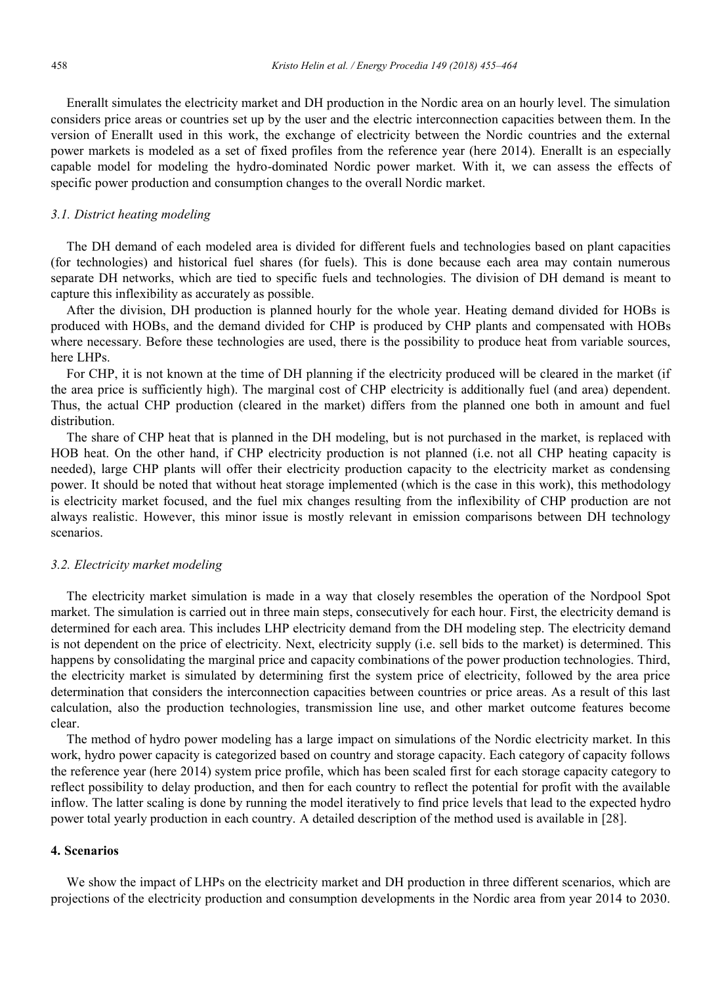Enerallt simulates the electricity market and DH production in the Nordic area on an hourly level. The simulation considers price areas or countries set up by the user and the electric interconnection capacities between them. In the version of Enerallt used in this work, the exchange of electricity between the Nordic countries and the external power markets is modeled as a set of fixed profiles from the reference year (here 2014). Enerallt is an especially capable model for modeling the hydro-dominated Nordic power market. With it, we can assess the effects of specific power production and consumption changes to the overall Nordic market.

### *3.1. District heating modeling*

The DH demand of each modeled area is divided for different fuels and technologies based on plant capacities (for technologies) and historical fuel shares (for fuels). This is done because each area may contain numerous separate DH networks, which are tied to specific fuels and technologies. The division of DH demand is meant to capture this inflexibility as accurately as possible.

After the division, DH production is planned hourly for the whole year. Heating demand divided for HOBs is produced with HOBs, and the demand divided for CHP is produced by CHP plants and compensated with HOBs where necessary. Before these technologies are used, there is the possibility to produce heat from variable sources, here LHPs.

For CHP, it is not known at the time of DH planning if the electricity produced will be cleared in the market (if the area price is sufficiently high). The marginal cost of CHP electricity is additionally fuel (and area) dependent. Thus, the actual CHP production (cleared in the market) differs from the planned one both in amount and fuel distribution.

The share of CHP heat that is planned in the DH modeling, but is not purchased in the market, is replaced with HOB heat. On the other hand, if CHP electricity production is not planned (i.e. not all CHP heating capacity is needed), large CHP plants will offer their electricity production capacity to the electricity market as condensing power. It should be noted that without heat storage implemented (which is the case in this work), this methodology is electricity market focused, and the fuel mix changes resulting from the inflexibility of CHP production are not always realistic. However, this minor issue is mostly relevant in emission comparisons between DH technology scenarios.

### *3.2. Electricity market modeling*

The electricity market simulation is made in a way that closely resembles the operation of the Nordpool Spot market. The simulation is carried out in three main steps, consecutively for each hour. First, the electricity demand is determined for each area. This includes LHP electricity demand from the DH modeling step. The electricity demand is not dependent on the price of electricity. Next, electricity supply (i.e. sell bids to the market) is determined. This happens by consolidating the marginal price and capacity combinations of the power production technologies. Third, the electricity market is simulated by determining first the system price of electricity, followed by the area price determination that considers the interconnection capacities between countries or price areas. As a result of this last calculation, also the production technologies, transmission line use, and other market outcome features become clear.

The method of hydro power modeling has a large impact on simulations of the Nordic electricity market. In this work, hydro power capacity is categorized based on country and storage capacity. Each category of capacity follows the reference year (here 2014) system price profile, which has been scaled first for each storage capacity category to reflect possibility to delay production, and then for each country to reflect the potential for profit with the available inflow. The latter scaling is done by running the model iteratively to find price levels that lead to the expected hydro power total yearly production in each country. A detailed description of the method used is available in [28].

## **4. Scenarios**

We show the impact of LHPs on the electricity market and DH production in three different scenarios, which are projections of the electricity production and consumption developments in the Nordic area from year 2014 to 2030.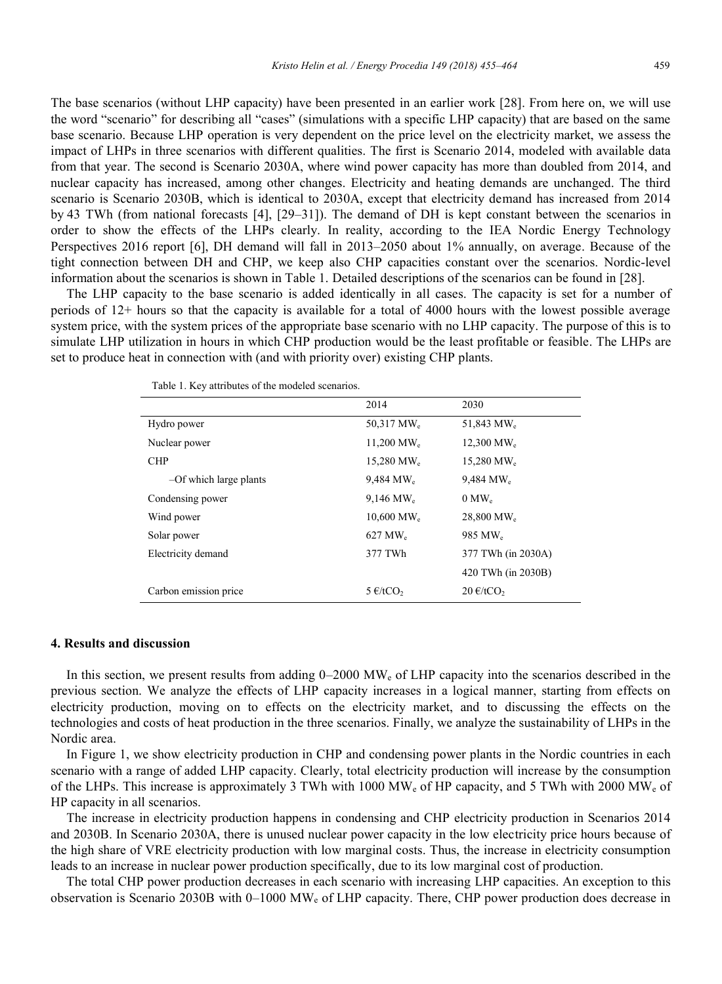The base scenarios (without LHP capacity) have been presented in an earlier work [28]. From here on, we will use the word "scenario" for describing all "cases" (simulations with a specific LHP capacity) that are based on the same base scenario. Because LHP operation is very dependent on the price level on the electricity market, we assess the impact of LHPs in three scenarios with different qualities. The first is Scenario 2014, modeled with available data from that year. The second is Scenario 2030A, where wind power capacity has more than doubled from 2014, and nuclear capacity has increased, among other changes. Electricity and heating demands are unchanged. The third scenario is Scenario 2030B, which is identical to 2030A, except that electricity demand has increased from 2014 by 43 TWh (from national forecasts [4], [29–31]). The demand of DH is kept constant between the scenarios in order to show the effects of the LHPs clearly. In reality, according to the IEA Nordic Energy Technology Perspectives 2016 report [6], DH demand will fall in 2013–2050 about 1% annually, on average. Because of the tight connection between DH and CHP, we keep also CHP capacities constant over the scenarios. Nordic-level information about the scenarios is shown in Table 1. Detailed descriptions of the scenarios can be found in [28].

The LHP capacity to the base scenario is added identically in all cases. The capacity is set for a number of periods of 12+ hours so that the capacity is available for a total of 4000 hours with the lowest possible average system price, with the system prices of the appropriate base scenario with no LHP capacity. The purpose of this is to simulate LHP utilization in hours in which CHP production would be the least profitable or feasible. The LHPs are set to produce heat in connection with (and with priority over) existing CHP plants.

|                        | 2014                     | 2030                      |
|------------------------|--------------------------|---------------------------|
| Hydro power            | 50,317 MW <sub>e</sub>   | 51,843 MW <sub>c</sub>    |
| Nuclear power          | $11,200$ MW <sub>e</sub> | $12,300$ MW <sub>e</sub>  |
| <b>CHP</b>             | $15,280$ MW <sub>e</sub> | $15,280$ MW <sub>e</sub>  |
| -Of which large plants | $9,484$ MW <sub>e</sub>  | $9,484$ MW <sub>e</sub>   |
| Condensing power       | $9,146$ MW <sub>e</sub>  | $0 \text{ MW}_{\text{e}}$ |
| Wind power             | $10,600$ MW <sub>e</sub> | 28,800 MW <sub>c</sub>    |
| Solar power            | $627 \text{ MW}$         | 985 MW <sub>e</sub>       |
| Electricity demand     | 377 TWh                  | 377 TWh (in 2030A)        |
|                        |                          | 420 TWh (in 2030B)        |
| Carbon emission price  | $5 \in KCO$              | $20 \text{ E/tCO}$        |

Table 1. Key attributes of the modeled scenarios.

#### **4. Results and discussion**

In this section, we present results from adding  $0-2000$  MW<sub>e</sub> of LHP capacity into the scenarios described in the previous section. We analyze the effects of LHP capacity increases in a logical manner, starting from effects on electricity production, moving on to effects on the electricity market, and to discussing the effects on the technologies and costs of heat production in the three scenarios. Finally, we analyze the sustainability of LHPs in the Nordic area.

In Figure 1, we show electricity production in CHP and condensing power plants in the Nordic countries in each scenario with a range of added LHP capacity. Clearly, total electricity production will increase by the consumption of the LHPs. This increase is approximately 3 TWh with 1000 MW<sub>e</sub> of HP capacity, and 5 TWh with 2000 MW<sub>e</sub> of HP capacity in all scenarios.

The increase in electricity production happens in condensing and CHP electricity production in Scenarios 2014 and 2030B. In Scenario 2030A, there is unused nuclear power capacity in the low electricity price hours because of the high share of VRE electricity production with low marginal costs. Thus, the increase in electricity consumption leads to an increase in nuclear power production specifically, due to its low marginal cost of production.

The total CHP power production decreases in each scenario with increasing LHP capacities. An exception to this observation is Scenario 2030B with 0–1000 MWe of LHP capacity. There, CHP power production does decrease in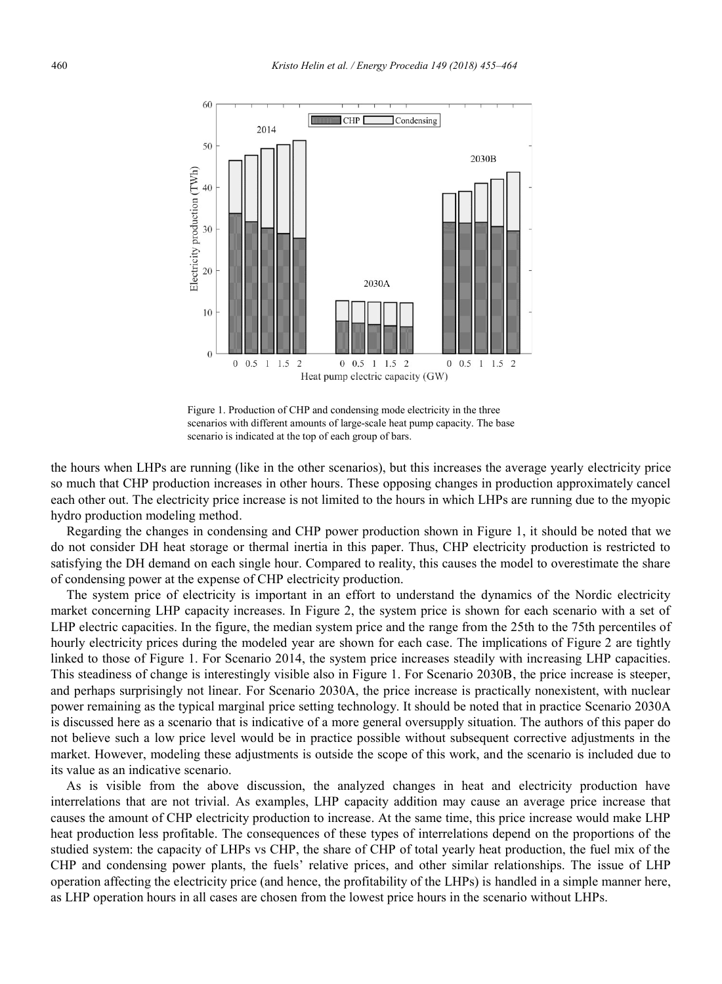

Figure 1. Production of CHP and condensing mode electricity in the three scenarios with different amounts of large-scale heat pump capacity. The base scenario is indicated at the top of each group of bars.

the hours when LHPs are running (like in the other scenarios), but this increases the average yearly electricity price so much that CHP production increases in other hours. These opposing changes in production approximately cancel each other out. The electricity price increase is not limited to the hours in which LHPs are running due to the myopic hydro production modeling method.

Regarding the changes in condensing and CHP power production shown in Figure 1, it should be noted that we do not consider DH heat storage or thermal inertia in this paper. Thus, CHP electricity production is restricted to satisfying the DH demand on each single hour. Compared to reality, this causes the model to overestimate the share of condensing power at the expense of CHP electricity production.

The system price of electricity is important in an effort to understand the dynamics of the Nordic electricity market concerning LHP capacity increases. In Figure 2, the system price is shown for each scenario with a set of LHP electric capacities. In the figure, the median system price and the range from the 25th to the 75th percentiles of hourly electricity prices during the modeled year are shown for each case. The implications of Figure 2 are tightly linked to those of Figure 1. For Scenario 2014, the system price increases steadily with increasing LHP capacities. This steadiness of change is interestingly visible also in Figure 1. For Scenario 2030B, the price increase is steeper, and perhaps surprisingly not linear. For Scenario 2030A, the price increase is practically nonexistent, with nuclear power remaining as the typical marginal price setting technology. It should be noted that in practice Scenario 2030A is discussed here as a scenario that is indicative of a more general oversupply situation. The authors of this paper do not believe such a low price level would be in practice possible without subsequent corrective adjustments in the market. However, modeling these adjustments is outside the scope of this work, and the scenario is included due to its value as an indicative scenario.

As is visible from the above discussion, the analyzed changes in heat and electricity production have interrelations that are not trivial. As examples, LHP capacity addition may cause an average price increase that causes the amount of CHP electricity production to increase. At the same time, this price increase would make LHP heat production less profitable. The consequences of these types of interrelations depend on the proportions of the studied system: the capacity of LHPs vs CHP, the share of CHP of total yearly heat production, the fuel mix of the CHP and condensing power plants, the fuels' relative prices, and other similar relationships. The issue of LHP operation affecting the electricity price (and hence, the profitability of the LHPs) is handled in a simple manner here, as LHP operation hours in all cases are chosen from the lowest price hours in the scenario without LHPs.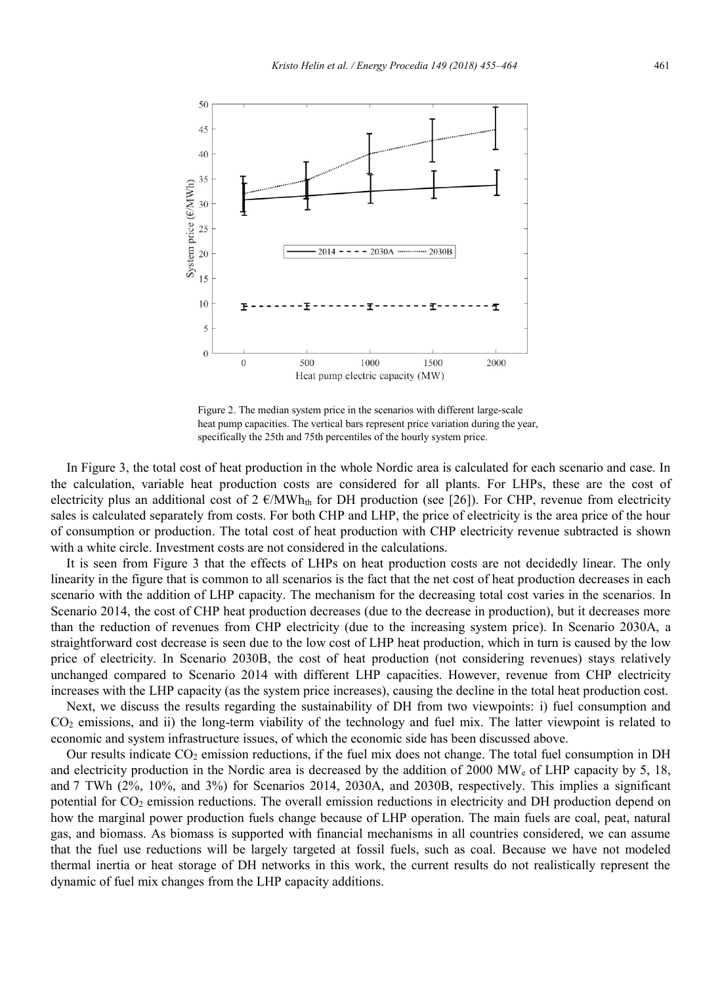

Figure 2. The median system price in the scenarios with different large-scale heat pump capacities. The vertical bars represent price variation during the year, specifically the 25th and 75th percentiles of the hourly system price.

In Figure 3, the total cost of heat production in the whole Nordic area is calculated for each scenario and case. In the calculation, variable heat production costs are considered for all plants. For LHPs, these are the cost of electricity plus an additional cost of 2  $\epsilon/MWh_{th}$  for DH production (see [26]). For CHP, revenue from electricity sales is calculated separately from costs. For both CHP and LHP, the price of electricity is the area price of the hour of consumption or production. The total cost of heat production with CHP electricity revenue subtracted is shown with a white circle. Investment costs are not considered in the calculations.

It is seen from Figure 3 that the effects of LHPs on heat production costs are not decidedly linear. The only linearity in the figure that is common to all scenarios is the fact that the net cost of heat production decreases in each scenario with the addition of LHP capacity. The mechanism for the decreasing total cost varies in the scenarios. In Scenario 2014, the cost of CHP heat production decreases (due to the decrease in production), but it decreases more than the reduction of revenues from CHP electricity (due to the increasing system price). In Scenario 2030A, a straightforward cost decrease is seen due to the low cost of LHP heat production, which in turn is caused by the low price of electricity. In Scenario 2030B, the cost of heat production (not considering revenues) stays relatively unchanged compared to Scenario 2014 with different LHP capacities. However, revenue from CHP electricity increases with the LHP capacity (as the system price increases), causing the decline in the total heat production cost.

Next, we discuss the results regarding the sustainability of DH from two viewpoints: i) fuel consumption and  $CO<sub>2</sub>$  emissions, and ii) the long-term viability of the technology and fuel mix. The latter viewpoint is related to economic and system infrastructure issues, of which the economic side has been discussed above.

Our results indicate  $CO_2$  emission reductions, if the fuel mix does not change. The total fuel consumption in DH and electricity production in the Nordic area is decreased by the addition of 2000 MWe of LHP capacity by 5, 18, and 7 TWh (2%, 10%, and 3%) for Scenarios 2014, 2030A, and 2030B, respectively. This implies a significant potential for  $CO<sub>2</sub>$  emission reductions. The overall emission reductions in electricity and DH production depend on how the marginal power production fuels change because of LHP operation. The main fuels are coal, peat, natural gas, and biomass. As biomass is supported with financial mechanisms in all countries considered, we can assume that the fuel use reductions will be largely targeted at fossil fuels, such as coal. Because we have not modeled thermal inertia or heat storage of DH networks in this work, the current results do not realistically represent the dynamic of fuel mix changes from the LHP capacity additions.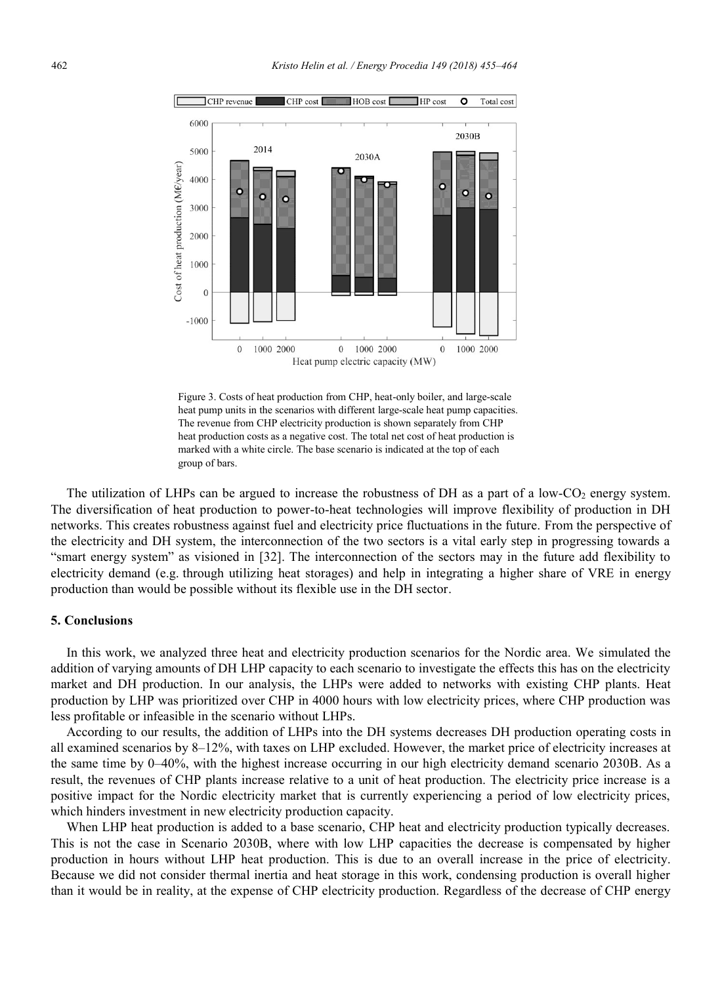

Figure 3. Costs of heat production from CHP, heat-only boiler, and large-scale heat pump units in the scenarios with different large-scale heat pump capacities. The revenue from CHP electricity production is shown separately from CHP heat production costs as a negative cost. The total net cost of heat production is marked with a white circle. The base scenario is indicated at the top of each group of bars.

The utilization of LHPs can be argued to increase the robustness of DH as a part of a low- $CO<sub>2</sub>$  energy system. The diversification of heat production to power-to-heat technologies will improve flexibility of production in DH networks. This creates robustness against fuel and electricity price fluctuations in the future. From the perspective of the electricity and DH system, the interconnection of the two sectors is a vital early step in progressing towards a "smart energy system" as visioned in [32]. The interconnection of the sectors may in the future add flexibility to electricity demand (e.g. through utilizing heat storages) and help in integrating a higher share of VRE in energy production than would be possible without its flexible use in the DH sector.

### **5. Conclusions**

In this work, we analyzed three heat and electricity production scenarios for the Nordic area. We simulated the addition of varying amounts of DH LHP capacity to each scenario to investigate the effects this has on the electricity market and DH production. In our analysis, the LHPs were added to networks with existing CHP plants. Heat production by LHP was prioritized over CHP in 4000 hours with low electricity prices, where CHP production was less profitable or infeasible in the scenario without LHPs.

According to our results, the addition of LHPs into the DH systems decreases DH production operating costs in all examined scenarios by 8–12%, with taxes on LHP excluded. However, the market price of electricity increases at the same time by 0–40%, with the highest increase occurring in our high electricity demand scenario 2030B. As a result, the revenues of CHP plants increase relative to a unit of heat production. The electricity price increase is a positive impact for the Nordic electricity market that is currently experiencing a period of low electricity prices, which hinders investment in new electricity production capacity.

When LHP heat production is added to a base scenario, CHP heat and electricity production typically decreases. This is not the case in Scenario 2030B, where with low LHP capacities the decrease is compensated by higher production in hours without LHP heat production. This is due to an overall increase in the price of electricity. Because we did not consider thermal inertia and heat storage in this work, condensing production is overall higher than it would be in reality, at the expense of CHP electricity production. Regardless of the decrease of CHP energy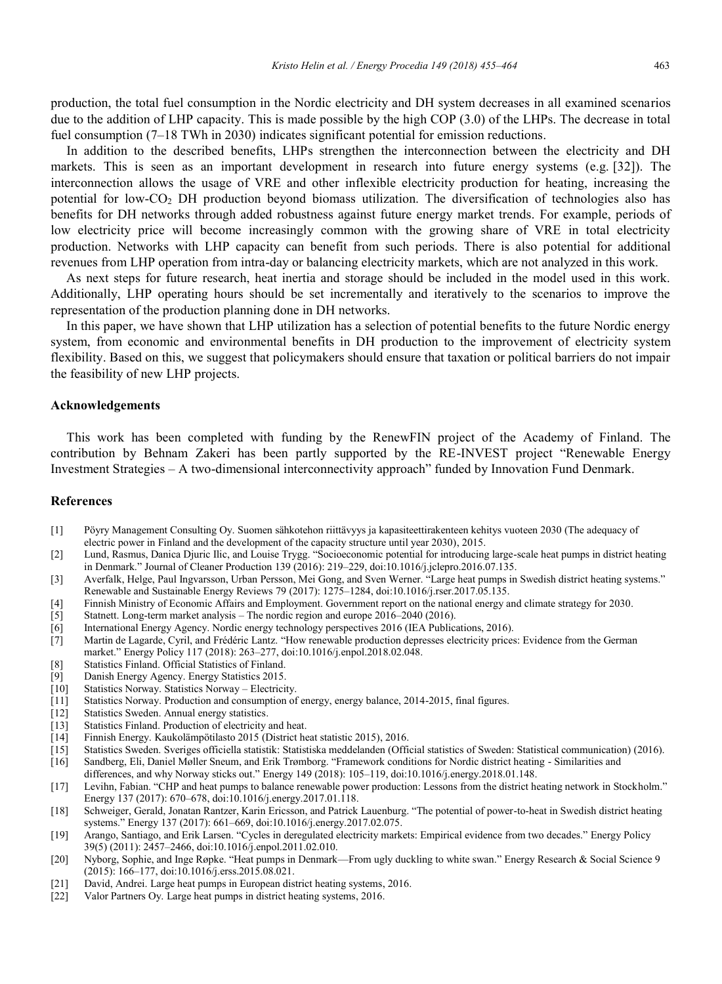production, the total fuel consumption in the Nordic electricity and DH system decreases in all examined scenarios due to the addition of LHP capacity. This is made possible by the high COP (3.0) of the LHPs. The decrease in total fuel consumption (7–18 TWh in 2030) indicates significant potential for emission reductions.

In addition to the described benefits, LHPs strengthen the interconnection between the electricity and DH markets. This is seen as an important development in research into future energy systems (e.g. [32]). The interconnection allows the usage of VRE and other inflexible electricity production for heating, increasing the potential for low-CO2 DH production beyond biomass utilization. The diversification of technologies also has benefits for DH networks through added robustness against future energy market trends. For example, periods of low electricity price will become increasingly common with the growing share of VRE in total electricity production. Networks with LHP capacity can benefit from such periods. There is also potential for additional revenues from LHP operation from intra-day or balancing electricity markets, which are not analyzed in this work.

As next steps for future research, heat inertia and storage should be included in the model used in this work. Additionally, LHP operating hours should be set incrementally and iteratively to the scenarios to improve the representation of the production planning done in DH networks.

In this paper, we have shown that LHP utilization has a selection of potential benefits to the future Nordic energy system, from economic and environmental benefits in DH production to the improvement of electricity system flexibility. Based on this, we suggest that policymakers should ensure that taxation or political barriers do not impair the feasibility of new LHP projects.

### **Acknowledgements**

This work has been completed with funding by the RenewFIN project of the Academy of Finland. The contribution by Behnam Zakeri has been partly supported by the RE-INVEST project "Renewable Energy Investment Strategies – A two-dimensional interconnectivity approach" funded by Innovation Fund Denmark.

#### **References**

- [1] Pöyry Management Consulting Oy. Suomen sähkotehon riittävyys ja kapasiteettirakenteen kehitys vuoteen 2030 (The adequacy of electric power in Finland and the development of the capacity structure until year 2030), 2015.
- [2] Lund, Rasmus, Danica Djuric Ilic, and Louise Trygg. "Socioeconomic potential for introducing large-scale heat pumps in district heating in Denmark." Journal of Cleaner Production 139 (2016): 219–229, doi:10.1016/j.jclepro.2016.07.135.
- [3] Averfalk, Helge, Paul Ingvarsson, Urban Persson, Mei Gong, and Sven Werner. "Large heat pumps in Swedish district heating systems." Renewable and Sustainable Energy Reviews 79 (2017): 1275–1284, doi:10.1016/j.rser.2017.05.135.
- [4] Finnish Ministry of Economic Affairs and Employment. Government report on the national energy and climate strategy for 2030.
- 
- [5] Statnett. Long-term market analysis The nordic region and europe 2016–2040 (2016). [6] International Energy Agency. Nordic energy technology perspectives 2016 (IEA Publications, 2016).<br>
[7] Martin de Lagarde, Cyril, and Frédéric Lantz, "How renewable production depresses electricity prices
- Martin de Lagarde, Cyril, and Frédéric Lantz. "How renewable production depresses electricity prices: Evidence from the German market." Energy Policy 117 (2018): 263–277, doi:10.1016/j.enpol.2018.02.048.
- [8] Statistics Finland. Official Statistics of Finland.<br>
[9] Danish Energy Agency. Energy Statistics 2015.
- [9] Danish Energy Agency. Energy Statistics 2015.<br>[10] Statistics Norway. Statistics Norway Electrici
- Statistics Norway. Statistics Norway Electricity.
- [11] Statistics Norway. Production and consumption of energy, energy balance, 2014-2015, final figures.
- [12] Statistics Sweden. Annual energy statistics.<br>[13] Statistics Finland. Production of electricity
- Statistics Finland. Production of electricity and heat.
- [14] Finnish Energy. Kaukolämpötilasto 2015 (District heat statistic 2015), 2016.
- [15] Statistics Sweden. Sveriges officiella statistik: Statistiska meddelanden (Official statistics of Sweden: Statistical communication) (2016). [16] Sandberg, Eli, Daniel Møller Sneum, and Erik Trømborg. "Framework conditions for Nordic district heating - Similarities and
- differences, and why Norway sticks out." Energy 149 (2018): 105–119, doi:10.1016/j.energy.2018.01.148.
- [17] Levihn, Fabian. "CHP and heat pumps to balance renewable power production: Lessons from the district heating network in Stockholm." Energy 137 (2017): 670–678, doi:10.1016/j.energy.2017.01.118.
- [18] Schweiger, Gerald, Jonatan Rantzer, Karin Ericsson, and Patrick Lauenburg. "The potential of power-to-heat in Swedish district heating systems." Energy 137 (2017): 661–669, doi:10.1016/j.energy.2017.02.075.
- [19] Arango, Santiago, and Erik Larsen. "Cycles in deregulated electricity markets: Empirical evidence from two decades." Energy Policy 39(5) (2011): 2457–2466, doi:10.1016/j.enpol.2011.02.010.
- [20] Nyborg, Sophie, and Inge Røpke. "Heat pumps in Denmark—From ugly duckling to white swan." Energy Research & Social Science 9 (2015): 166–177, doi:10.1016/j.erss.2015.08.021.
- [21] David, Andrei. Large heat pumps in European district heating systems, 2016.<br>[22] Valor Partners Oy. Large heat pumps in district heating systems, 2016.
- Valor Partners Oy. Large heat pumps in district heating systems, 2016.